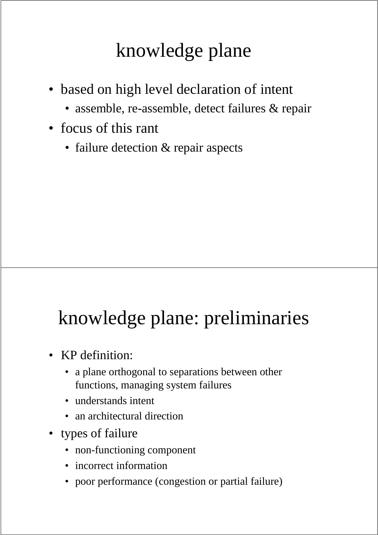# knowledge plane

- based on high level declaration of intent
	- assemble, re-assemble, detect failures & repair
- focus of this rant
	- failure detection & repair aspects

# knowledge plane: preliminaries

- KP definition:
	- a plane orthogonal to separations between other functions, managing system failures
	- understands intent
	- an architectural direction
- types of failure
	- non-functioning component
	- incorrect information
	- poor performance (congestion or partial failure)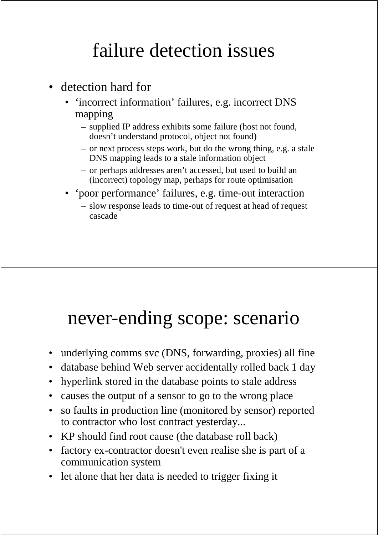### failure detection issues

- detection hard for
	- 'incorrect information' failures, e.g. incorrect DNS mapping
		- supplied IP address exhibits some failure (host not found, doesn't understand protocol, object not found)
		- or next process steps work, but do the wrong thing, e.g. a stale DNS mapping leads to a stale information object
		- or perhaps addresses aren't accessed, but used to build an (incorrect) topology map, perhaps for route optimisation
	- 'poor performance' failures, e.g. time-out interaction
		- slow response leads to time-out of request at head of request cascade

#### never-ending scope: scenario

- underlying comms svc (DNS, forwarding, proxies) all fine
- database behind Web server accidentally rolled back 1 day
- hyperlink stored in the database points to stale address
- causes the output of a sensor to go to the wrong place
- so faults in production line (monitored by sensor) reported to contractor who lost contract yesterday...
- KP should find root cause (the database roll back)
- factory ex-contractor doesn't even realise she is part of a communication system
- let alone that her data is needed to trigger fixing it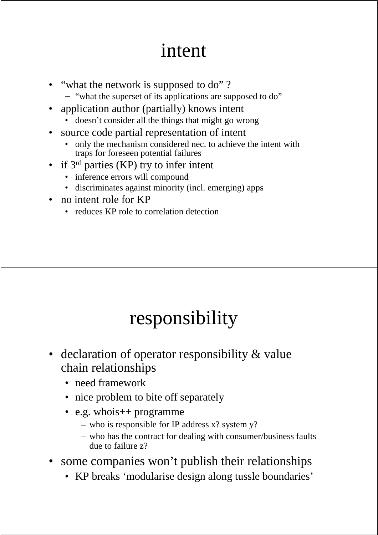### intent

- "what the network is supposed to do" ?
	- $\equiv$  "what the superset of its applications are supposed to do"
- application author (partially) knows intent
	- doesn't consider all the things that might go wrong
- source code partial representation of intent
	- only the mechanism considered nec. to achieve the intent with traps for foreseen potential failures
- if 3rd parties (KP) try to infer intent
	- inference errors will compound
	- discriminates against minority (incl. emerging) apps
- no intent role for KP
	- reduces KP role to correlation detection

### responsibility

- declaration of operator responsibility & value chain relationships
	- need framework
	- nice problem to bite off separately
	- e.g. whois + programme
		- who is responsible for IP address x? system y?
		- who has the contract for dealing with consumer/business faults due to failure z?
- some companies won't publish their relationships
	- KP breaks 'modularise design along tussle boundaries'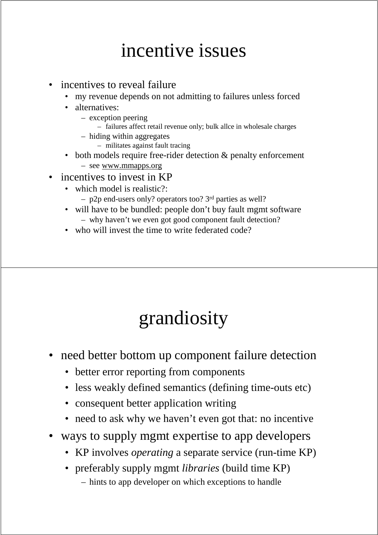### incentive issues

- incentives to reveal failure
	- my revenue depends on not admitting to failures unless forced
	- alternatives:
		- exception peering
			- failures affect retail revenue only; bulk allce in wholesale charges
		- hiding within aggregates
			- militates against fault tracing
	- both models require free-rider detection & penalty enforcement – see www.mmapps.org
- incentives to invest in KP
	- which model is realistic?:
		- p2p end-users only? operators too? 3rd parties as well?
	- will have to be bundled: people don't buy fault mgmt software – why haven't we even got good component fault detection?
	- who will invest the time to write federated code?

# grandiosity

- need better bottom up component failure detection
	- better error reporting from components
	- less weakly defined semantics (defining time-outs etc)
	- consequent better application writing
	- need to ask why we haven't even got that: no incentive
- ways to supply mgmt expertise to app developers
	- KP involves *operating* a separate service (run-time KP)
	- preferably supply mgmt *libraries* (build time KP) – hints to app developer on which exceptions to handle